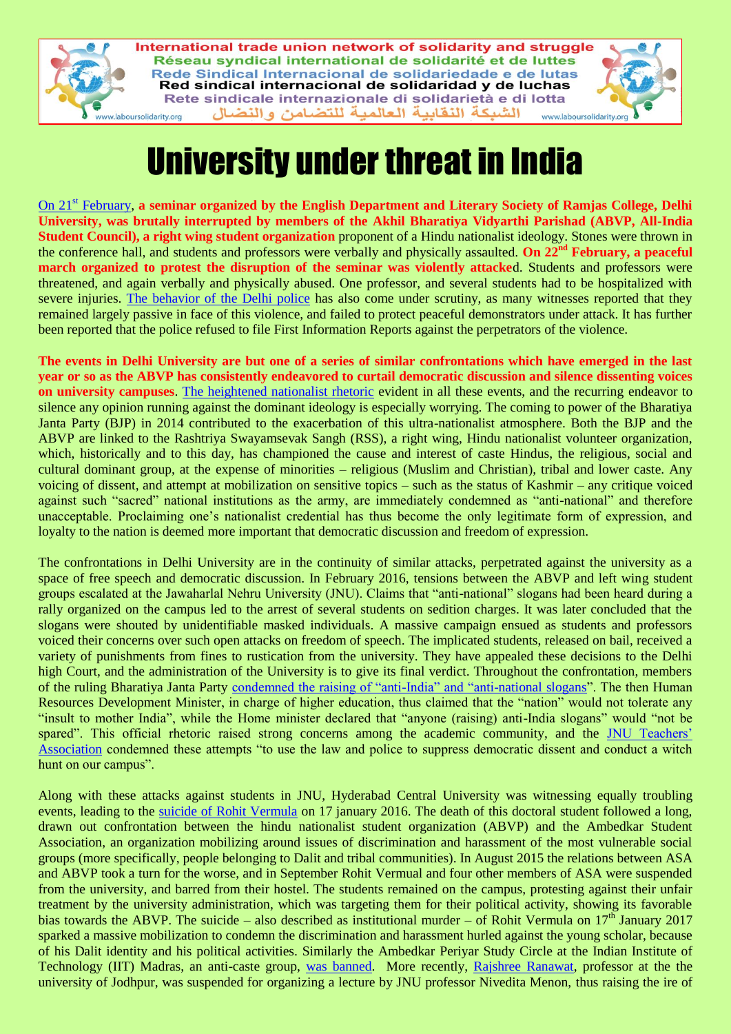

# University under threat in India

On 21st [February,](http://indianexpress.com/article/blogs/abvp-aisa-protest-students-delhi-university-what-is-differently-at-stake-4545936/) **a seminar organized by the English Department and Literary Society of Ramjas College, Delhi University, was brutally interrupted by members of the Akhil Bharatiya Vidyarthi Parishad (ABVP, All-India Student Council), a right wing student organization** proponent of a Hindu nationalist ideology. Stones were thrown in the conference hall, and students and professors were verbally and physically assaulted. **On 22nd February, a peaceful march organized to protest the disruption of the seminar was violently attacke**d. Students and professors were threatened, and again verbally and physically abused. One professor, and several students had to be hospitalized with severe injuries. [The behavior of the Delhi police](https://kafila.online/2017/02/23/abvp-riots-in-delhi-university-with-police-protection/) has also come under scrutiny, as many witnesses reported that they remained largely passive in face of this violence, and failed to protect peaceful demonstrators under attack. It has further been reported that the police refused to file First Information Reports against the perpetrators of the violence.

**The events in Delhi University are but one of a series of similar confrontations which have emerged in the last year or so as the ABVP has consistently endeavored to curtail democratic discussion and silence dissenting voices on university campuses**. [The heightened nationalist rhetoric](https://thewire.in/110921/violent-binaries-nationalism-ramjas-abvp/) evident in all these events, and the recurring endeavor to silence any opinion running against the dominant ideology is especially worrying. The coming to power of the Bharatiya Janta Party (BJP) in 2014 contributed to the exacerbation of this ultra-nationalist atmosphere. Both the BJP and the ABVP are linked to the Rashtriya Swayamsevak Sangh (RSS), a right wing, Hindu nationalist volunteer organization, which, historically and to this day, has championed the cause and interest of caste Hindus, the religious, social and cultural dominant group, at the expense of minorities – religious (Muslim and Christian), tribal and lower caste. Any voicing of dissent, and attempt at mobilization on sensitive topics – such as the status of Kashmir – any critique voiced against such "sacred" national institutions as the army, are immediately condemned as "anti-national" and therefore unacceptable. Proclaiming one's nationalist credential has thus become the only legitimate form of expression, and loyalty to the nation is deemed more important that democratic discussion and freedom of expression.

The confrontations in Delhi University are in the continuity of similar attacks, perpetrated against the university as a space of free speech and democratic discussion. In February 2016, tensions between the ABVP and left wing student groups escalated at the Jawaharlal Nehru University (JNU). Claims that "anti-national" slogans had been heard during a rally organized on the campus led to the arrest of several students on sedition charges. It was later concluded that the slogans were shouted by unidentifiable masked individuals. A massive campaign ensued as students and professors voiced their concerns over such open attacks on freedom of speech. The implicated students, released on bail, received a variety of punishments from fines to rustication from the university. They have appealed these decisions to the Delhi high Court, and the administration of the University is to give its final verdict. Throughout the confrontation, members of the ruling Bharatiya Janta Party [condemned the raising of "anti-India" and "anti-national slogans"](http://indianexpress.com/article/india/india-news-india/anti-india-acts-cannot-be-tolerated-say-rajnath-singh-smriti-irani-on-afzal-guru-ruckus-at-jnu/). The then Human Resources Development Minister, in charge of higher education, thus claimed that the "nation" would not tolerate any "insult to mother India", while the Home minister declared that "anyone (raising) anti-India slogans" would "not be spared". This official rhetoric raised strong concerns among the academic community, and the [JNU Teachers'](http://timesofindia.indiatimes.com/city/delhi/JNUTA-expresses-opposition-to-attempts-to-use-the-law-and-police-to-suppress-democratic-dissent-and-conduct-a-witch-hunt-on-our-campus/articleshow/50972886.cms)  [Association](http://timesofindia.indiatimes.com/city/delhi/JNUTA-expresses-opposition-to-attempts-to-use-the-law-and-police-to-suppress-democratic-dissent-and-conduct-a-witch-hunt-on-our-campus/articleshow/50972886.cms) condemned these attempts "to use the law and police to suppress democratic dissent and conduct a witch hunt on our campus".

Along with these attacks against students in JNU, Hyderabad Central University was witnessing equally troubling events, leading to the [suicide of Rohit Vermula](http://www.caravanmagazine.in/reportage/from-shadows-to-the-stars-rohith-vemula) on 17 january 2016. The death of this doctoral student followed a long, drawn out confrontation between the hindu nationalist student organization (ABVP) and the Ambedkar Student Association, an organization mobilizing around issues of discrimination and harassment of the most vulnerable social groups (more specifically, people belonging to Dalit and tribal communities). In August 2015 the relations between ASA and ABVP took a turn for the worse, and in September Rohit Vermual and four other members of ASA were suspended from the university, and barred from their hostel. The students remained on the campus, protesting against their unfair treatment by the university administration, which was targeting them for their political activity, showing its favorable bias towards the ABVP. The suicide – also described as institutional murder – of Rohit Vermula on  $17<sup>th</sup>$  January 2017 sparked a massive mobilization to condemn the discrimination and harassment hurled against the young scholar, because of his Dalit identity and his political activities. Similarly the Ambedkar Periyar Study Circle at the Indian Institute of Technology (IIT) Madras, an anti-caste group, [was banned.](http://economictimes.indiatimes.com/news/politics-and-nation/iit-madras-re-recognises-ambedkar-periyar-study-circle/articleshow/47581356.cms) More recently, [Rajshree Ranawat,](http://indianexpress.com/article/india/jodhpur-university-professor-who-organised-nivedita-menons-lecture-suspended-4529005/) professor at the the university of Jodhpur, was suspended for organizing a lecture by JNU professor Nivedita Menon, thus raising the ire of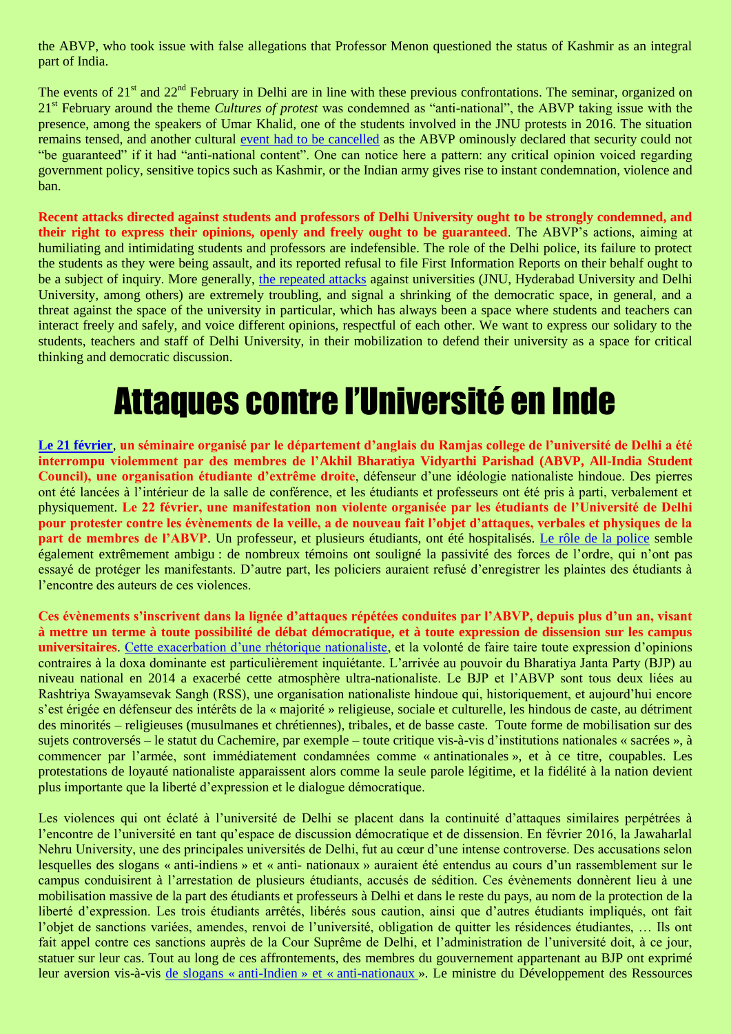the ABVP, who took issue with false allegations that Professor Menon questioned the status of Kashmir as an integral part of India.

The events of 21<sup>st</sup> and 22<sup>nd</sup> February in Delhi are in line with these previous confrontations. The seminar, organized on 21<sup>st</sup> February around the theme *Cultures of protest* was condemned as "anti-national", the ABVP taking issue with the presence, among the speakers of Umar Khalid, one of the students involved in the JNU protests in 2016. The situation remains tensed, and another cultural [event had to be cancelled](http://www.hindustantimes.com/delhi/du-drama-khalsa-college-postpones-event-after-abvp-says-safety-not-guaranteed/story-C8bgnvDYsoORt0HQzfGN6O.html) as the ABVP ominously declared that security could not "be guaranteed" if it had "anti-national content". One can notice here a pattern: any critical opinion voiced regarding government policy, sensitive topics such as Kashmir, or the Indian army gives rise to instant condemnation, violence and ban.

**Recent attacks directed against students and professors of Delhi University ought to be strongly condemned, and their right to express their opinions, openly and freely ought to be guaranteed**. The ABVP's actions, aiming at humiliating and intimidating students and professors are indefensible. The role of the Delhi police, its failure to protect the students as they were being assault, and its reported refusal to file First Information Reports on their behalf ought to be a subject of inquiry. More generally, [the repeated attacks](https://kafila.online/2017/02/26/statement-condemning-violence-at-ramjas-college-students-alumna-and-associates-of-department-of-english-delhi-university/) against universities (JNU, Hyderabad University and Delhi University, among others) are extremely troubling, and signal a shrinking of the democratic space, in general, and a threat against the space of the university in particular, which has always been a space where students and teachers can interact freely and safely, and voice different opinions, respectful of each other. We want to express our solidary to the students, teachers and staff of Delhi University, in their mobilization to defend their university as a space for critical thinking and democratic discussion.

## Attaques contre l'Université en Inde

**[Le 21 février](http://indianexpress.com/article/blogs/abvp-aisa-protest-students-delhi-university-what-is-differently-at-stake-4545936/)**, **un séminaire organisé par le département d'anglais du Ramjas college de l'université de Delhi a été interrompu violemment par des membres de l'Akhil Bharatiya Vidyarthi Parishad (ABVP, All-India Student Council), une organisation étudiante d'extrême droite**, défenseur d'une idéologie nationaliste hindoue. Des pierres ont été lancées à l'intérieur de la salle de conférence, et les étudiants et professeurs ont été pris à parti, verbalement et physiquement. **Le 22 février, une manifestation non violente organisée par les étudiants de l'Université de Delhi pour protester contre les évènements de la veille, a de nouveau fait l'objet d'attaques, verbales et physiques de la part de membres de l'ABVP**. Un professeur, et plusieurs étudiants, ont été hospitalisés. [Le rôle de la police](https://kafila.online/2017/02/23/abvp-riots-in-delhi-university-with-police-protection/) semble également extrêmement ambigu : de nombreux témoins ont souligné la passivité des forces de l'ordre, qui n'ont pas essayé de protéger les manifestants. D'autre part, les policiers auraient refusé d'enregistrer les plaintes des étudiants à l'encontre des auteurs de ces violences.

**Ces évènements s'inscrivent dans la lignée d'attaques répétées conduites par l'ABVP, depuis plus d'un an, visant à mettre un terme à toute possibilité de débat démocratique, et à toute expression de dissension sur les campus universitaires**. [Cette exacerbation d'une rhétorique nationaliste,](https://thewire.in/110921/violent-binaries-nationalism-ramjas-abvp/) et la volonté de faire taire toute expression d'opinions contraires à la doxa dominante est particulièrement inquiétante. L'arrivée au pouvoir du Bharatiya Janta Party (BJP) au niveau national en 2014 a exacerbé cette atmosphère ultra-nationaliste. Le BJP et l'ABVP sont tous deux liées au Rashtriya Swayamsevak Sangh (RSS), une organisation nationaliste hindoue qui, historiquement, et aujourd'hui encore s'est érigée en défenseur des intérêts de la « majorité » religieuse, sociale et culturelle, les hindous de caste, au détriment des minorités – religieuses (musulmanes et chrétiennes), tribales, et de basse caste. Toute forme de mobilisation sur des sujets controversés – le statut du Cachemire, par exemple – toute critique vis-à-vis d'institutions nationales « sacrées », à commencer par l'armée, sont immédiatement condamnées comme « antinationales », et à ce titre, coupables. Les protestations de loyauté nationaliste apparaissent alors comme la seule parole légitime, et la fidélité à la nation devient plus importante que la liberté d'expression et le dialogue démocratique.

Les violences qui ont éclaté à l'université de Delhi se placent dans la continuité d'attaques similaires perpétrées à l'encontre de l'université en tant qu'espace de discussion démocratique et de dissension. En février 2016, la Jawaharlal Nehru University, une des principales universités de Delhi, fut au cœur d'une intense controverse. Des accusations selon lesquelles des slogans « anti-indiens » et « anti- nationaux » auraient été entendus au cours d'un rassemblement sur le campus conduisirent à l'arrestation de plusieurs étudiants, accusés de sédition. Ces évènements donnèrent lieu à une mobilisation massive de la part des étudiants et professeurs à Delhi et dans le reste du pays, au nom de la protection de la liberté d'expression. Les trois étudiants arrêtés, libérés sous caution, ainsi que d'autres étudiants impliqués, ont fait l'objet de sanctions variées, amendes, renvoi de l'université, obligation de quitter les résidences étudiantes, … Ils ont fait appel contre ces sanctions auprès de la Cour Suprême de Delhi, et l'administration de l'université doit, à ce jour, statuer sur leur cas. Tout au long de ces affrontements, des membres du gouvernement appartenant au BJP ont exprimé leur aversion vis-à-vis de slogans « anti-Indien » et « [anti-nationaux](http://indianexpress.com/article/india/india-news-india/anti-india-acts-cannot-be-tolerated-say-rajnath-singh-smriti-irani-on-afzal-guru-ruckus-at-jnu/) ». Le ministre du Développement des Ressources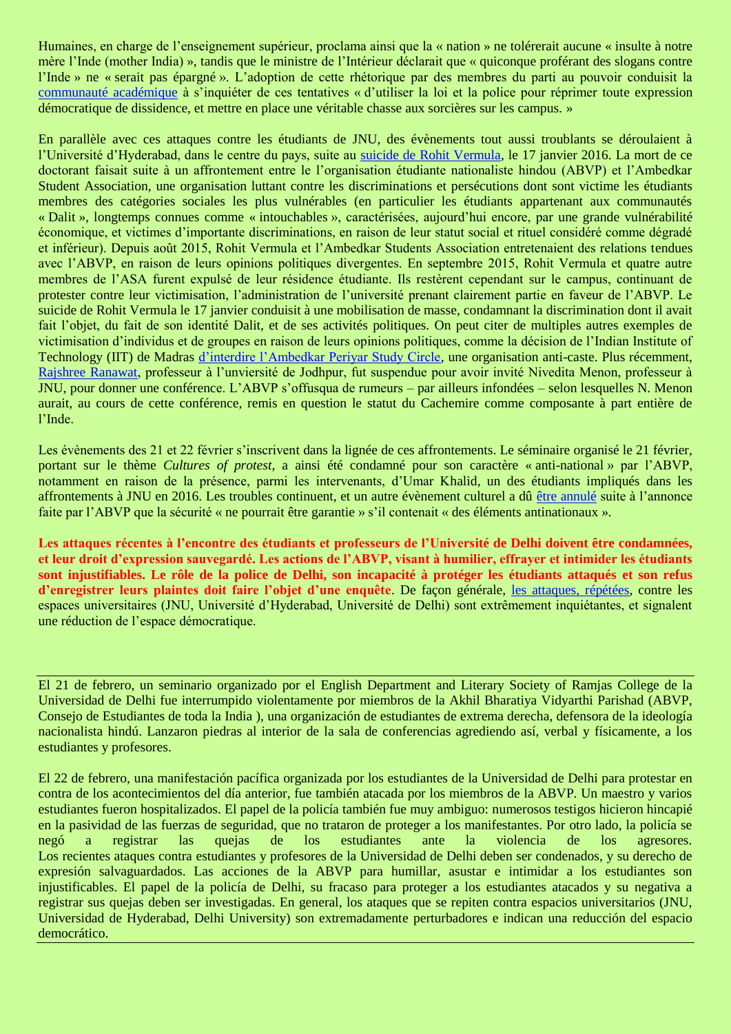Humaines, en charge de l'enseignement supérieur, proclama ainsi que la « nation » ne tolérerait aucune « insulte à notre mère l'Inde (mother India) », tandis que le ministre de l'Intérieur déclarait que « quiconque proférant des slogans contre l'Inde » ne « serait pas épargné ». L'adoption de cette rhétorique par des membres du parti au pouvoir conduisit la [communauté académique](http://timesofindia.indiatimes.com/city/delhi/JNUTA-expresses-opposition-to-attempts-to-use-the-law-and-police-to-suppress-democratic-dissent-and-conduct-a-witch-hunt-on-our-campus/articleshow/50972886.cms) à s'inquiéter de ces tentatives « d'utiliser la loi et la police pour réprimer toute expression démocratique de dissidence, et mettre en place une véritable chasse aux sorcières sur les campus. »

En parallèle avec ces attaques contre les étudiants de JNU, des évènements tout aussi troublants se déroulaient à l'Université d'Hyderabad, dans le centre du pays, suite au [suicide de Rohit Vermula,](http://www.caravanmagazine.in/reportage/from-shadows-to-the-stars-rohith-vemula) le 17 janvier 2016. La mort de ce doctorant faisait suite à un affrontement entre le l'organisation étudiante nationaliste hindou (ABVP) et l'Ambedkar Student Association, une organisation luttant contre les discriminations et persécutions dont sont victime les étudiants membres des catégories sociales les plus vulnérables (en particulier les étudiants appartenant aux communautés « Dalit », longtemps connues comme « intouchables », caractérisées, aujourd'hui encore, par une grande vulnérabilité économique, et victimes d'importante discriminations, en raison de leur statut social et rituel considéré comme dégradé et inférieur). Depuis août 2015, Rohit Vermula et l'Ambedkar Students Association entretenaient des relations tendues avec l'ABVP, en raison de leurs opinions politiques divergentes. En septembre 2015, Rohit Vermula et quatre autre membres de l'ASA furent expulsé de leur résidence étudiante. Ils restèrent cependant sur le campus, continuant de protester contre leur victimisation, l'administration de l'université prenant clairement partie en faveur de l'ABVP. Le suicide de Rohit Vermula le 17 janvier conduisit à une mobilisation de masse, condamnant la discrimination dont il avait fait l'objet, du fait de son identité Dalit, et de ses activités politiques. On peut citer de multiples autres exemples de victimisation d'individus et de groupes en raison de leurs opinions politiques, comme la décision de l'Indian Institute of Technology (IIT) de Madras [d'interdire l'Ambedkar Periyar Study Circle,](http://economictimes.indiatimes.com/news/politics-and-nation/iit-madras-re-recognises-ambedkar-periyar-study-circle/articleshow/47581356.cms) une organisation anti-caste. Plus récemment, [Rajshree Ranawat,](http://indianexpress.com/article/india/jodhpur-university-professor-who-organised-nivedita-menons-lecture-suspended-4529005/) professeur à l'unviersité de Jodhpur, fut suspendue pour avoir invité Nivedita Menon, professeur à JNU, pour donner une conférence. L'ABVP s'offusqua de rumeurs – par ailleurs infondées – selon lesquelles N. Menon aurait, au cours de cette conférence, remis en question le statut du Cachemire comme composante à part entière de l'Inde.

Les évènements des 21 et 22 février s'inscrivent dans la lignée de ces affrontements. Le séminaire organisé le 21 février, portant sur le thème *Cultures of protest*, a ainsi été condamné pour son caractère « anti-national » par l'ABVP, notamment en raison de la présence, parmi les intervenants, d'Umar Khalid, un des étudiants impliqués dans les affrontements à JNU en 2016. Les troubles continuent, et un autre évènement culturel a dû [être annulé](http://www.hindustantimes.com/delhi/du-drama-khalsa-college-postpones-event-after-abvp-says-safety-not-guaranteed/story-C8bgnvDYsoORt0HQzfGN6O.html) suite à l'annonce faite par l'ABVP que la sécurité « ne pourrait être garantie » s'il contenait « des éléments antinationaux ».

**Les attaques récentes à l'encontre des étudiants et professeurs de l'Université de Delhi doivent être condamnées, et leur droit d'expression sauvegardé. Les actions de l'ABVP, visant à humilier, effrayer et intimider les étudiants sont injustifiables. Le rôle de la police de Delhi, son incapacité à protéger les étudiants attaqués et son refus d'enregistrer leurs plaintes doit faire l'objet d'une enquête**. De façon générale, [les attaques, répétées,](https://kafila.online/2017/02/26/statement-condemning-violence-at-ramjas-college-students-alumna-and-associates-of-department-of-english-delhi-university/) contre les espaces universitaires (JNU, Université d'Hyderabad, Université de Delhi) sont extrêmement inquiétantes, et signalent une réduction de l'espace démocratique.

El 21 de febrero, un seminario organizado por el English Department and Literary Society of Ramjas College de la Universidad de Delhi fue interrumpido violentamente por miembros de la Akhil Bharatiya Vidyarthi Parishad (ABVP, Consejo de Estudiantes de toda la India ), una organización de estudiantes de extrema derecha, defensora de la ideología nacionalista hindú. Lanzaron piedras al interior de la sala de conferencias agrediendo así, verbal y físicamente, a los estudiantes y profesores.

El 22 de febrero, una manifestación pacífica organizada por los estudiantes de la Universidad de Delhi para protestar en contra de los acontecimientos del día anterior, fue también atacada por los miembros de la ABVP. Un maestro y varios estudiantes fueron hospitalizados. El papel de la policía también fue muy ambiguo: numerosos testigos hicieron hincapié en la pasividad de las fuerzas de seguridad, que no trataron de proteger a los manifestantes. Por otro lado, la policía se negó a registrar las quejas de los estudiantes ante la violencia de los agresores. Los recientes ataques contra estudiantes y profesores de la Universidad de Delhi deben ser condenados, y su derecho de expresión salvaguardados. Las acciones de la ABVP para humillar, asustar e intimidar a los estudiantes son injustificables. El papel de la policía de Delhi, su fracaso para proteger a los estudiantes atacados y su negativa a registrar sus quejas deben ser investigadas. En general, los ataques que se repiten contra espacios universitarios (JNU, Universidad de Hyderabad, Delhi University) son extremadamente perturbadores e indican una reducción del espacio democrático.